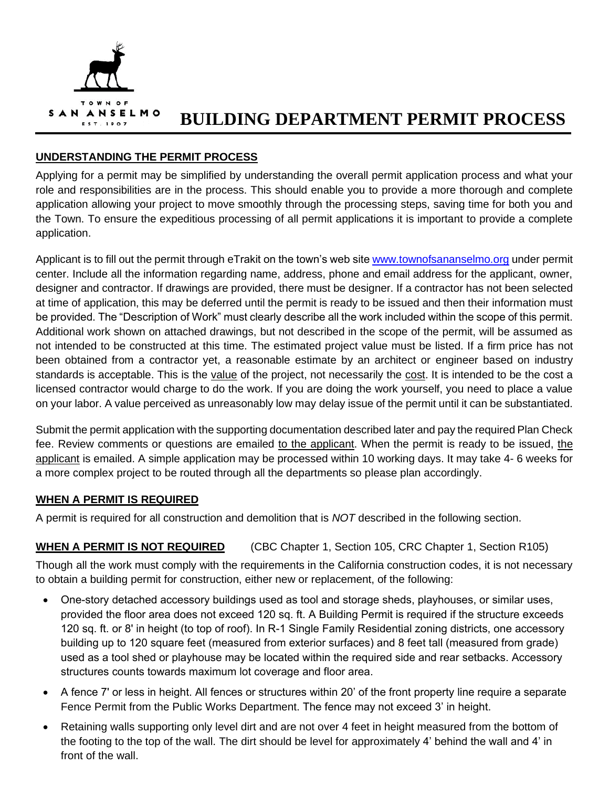

# **BUILDING DEPARTMENT PERMIT PROCESS**

## **UNDERSTANDING THE PERMIT PROCESS**

Applying for a permit may be simplified by understanding the overall permit application process and what your role and responsibilities are in the process. This should enable you to provide a more thorough and complete application allowing your project to move smoothly through the processing steps, saving time for both you and the Town. To ensure the expeditious processing of all permit applications it is important to provide a complete application.

Applicant is to fill out the permit through eTrakit on the town's web site [www.townofsananselmo.org](http://www.townofsananselmo.org/) under permit center. Include all the information regarding name, address, phone and email address for the applicant, owner, designer and contractor. If drawings are provided, there must be designer. If a contractor has not been selected at time of application, this may be deferred until the permit is ready to be issued and then their information must be provided. The "Description of Work" must clearly describe all the work included within the scope of this permit. Additional work shown on attached drawings, but not described in the scope of the permit, will be assumed as not intended to be constructed at this time. The estimated project value must be listed. If a firm price has not been obtained from a contractor yet, a reasonable estimate by an architect or engineer based on industry standards is acceptable. This is the value of the project, not necessarily the cost. It is intended to be the cost a licensed contractor would charge to do the work. If you are doing the work yourself, you need to place a value on your labor. A value perceived as unreasonably low may delay issue of the permit until it can be substantiated.

Submit the permit application with the supporting documentation described later and pay the required Plan Check fee. Review comments or questions are emailed to the applicant. When the permit is ready to be issued, the applicant is emailed. A simple application may be processed within 10 working days. It may take 4- 6 weeks for a more complex project to be routed through all the departments so please plan accordingly.

## **WHEN A PERMIT IS REQUIRED**

A permit is required for all construction and demolition that is *NOT* described in the following section.

# **WHEN A PERMIT IS NOT REQUIRED** (CBC Chapter 1, Section 105, CRC Chapter 1, Section R105)

Though all the work must comply with the requirements in the California construction codes, it is not necessary to obtain a building permit for construction, either new or replacement, of the following:

- One-story detached accessory buildings used as tool and storage sheds, playhouses, or similar uses, provided the floor area does not exceed 120 sq. ft. A Building Permit is required if the structure exceeds 120 sq. ft. or 8' in height (to top of roof). In R-1 Single Family Residential zoning districts, one accessory building up to 120 square feet (measured from exterior surfaces) and 8 feet tall (measured from grade) used as a tool shed or playhouse may be located within the required side and rear setbacks. Accessory structures counts towards maximum lot coverage and floor area.
- A fence 7' or less in height. All fences or structures within 20' of the front property line require a separate Fence Permit from the Public Works Department. The fence may not exceed 3' in height.
- Retaining walls supporting only level dirt and are not over 4 feet in height measured from the bottom of the footing to the top of the wall. The dirt should be level for approximately 4' behind the wall and 4' in front of the wall.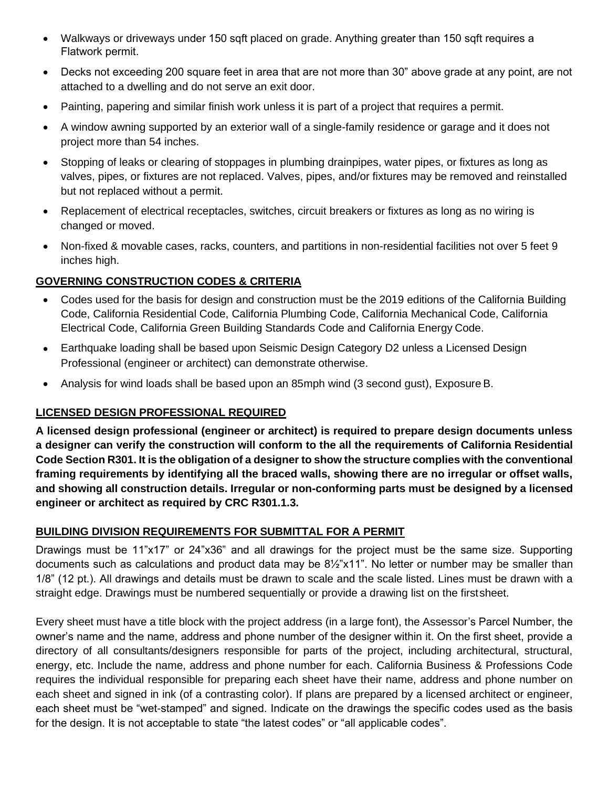- Walkways or driveways under 150 sqft placed on grade. Anything greater than 150 sqft requires a Flatwork permit.
- Decks not exceeding 200 square feet in area that are not more than 30" above grade at any point, are not attached to a dwelling and do not serve an exit door.
- Painting, papering and similar finish work unless it is part of a project that requires a permit.
- A window awning supported by an exterior wall of a single-family residence or garage and it does not project more than 54 inches.
- Stopping of leaks or clearing of stoppages in plumbing drainpipes, water pipes, or fixtures as long as valves, pipes, or fixtures are not replaced. Valves, pipes, and/or fixtures may be removed and reinstalled but not replaced without a permit.
- Replacement of electrical receptacles, switches, circuit breakers or fixtures as long as no wiring is changed or moved.
- Non-fixed & movable cases, racks, counters, and partitions in non-residential facilities not over 5 feet 9 inches high.

# **GOVERNING CONSTRUCTION CODES & CRITERIA**

- Codes used for the basis for design and construction must be the 2019 editions of the California Building Code, California Residential Code, California Plumbing Code, California Mechanical Code, California Electrical Code, California Green Building Standards Code and California Energy Code.
- Earthquake loading shall be based upon Seismic Design Category D2 unless a Licensed Design Professional (engineer or architect) can demonstrate otherwise.
- Analysis for wind loads shall be based upon an 85mph wind (3 second gust), Exposure B.

# **LICENSED DESIGN PROFESSIONAL REQUIRED**

**A licensed design professional (engineer or architect) is required to prepare design documents unless a designer can verify the construction will conform to the all the requirements of California Residential Code Section R301. It is the obligation of a designer to show the structure complies with the conventional framing requirements by identifying all the braced walls, showing there are no irregular or offset walls, and showing all construction details. Irregular or non-conforming parts must be designed by a licensed engineer or architect as required by CRC R301.1.3.**

## **BUILDING DIVISION REQUIREMENTS FOR SUBMITTAL FOR A PERMIT**

Drawings must be 11"x17" or 24"x36" and all drawings for the project must be the same size. Supporting documents such as calculations and product data may be 8½"x11". No letter or number may be smaller than 1/8" (12 pt.). All drawings and details must be drawn to scale and the scale listed. Lines must be drawn with a straight edge. Drawings must be numbered sequentially or provide a drawing list on the firstsheet.

Every sheet must have a title block with the project address (in a large font), the Assessor's Parcel Number, the owner's name and the name, address and phone number of the designer within it. On the first sheet, provide a directory of all consultants/designers responsible for parts of the project, including architectural, structural, energy, etc. Include the name, address and phone number for each. California Business & Professions Code requires the individual responsible for preparing each sheet have their name, address and phone number on each sheet and signed in ink (of a contrasting color). If plans are prepared by a licensed architect or engineer, each sheet must be "wet-stamped" and signed. Indicate on the drawings the specific codes used as the basis for the design. It is not acceptable to state "the latest codes" or "all applicable codes".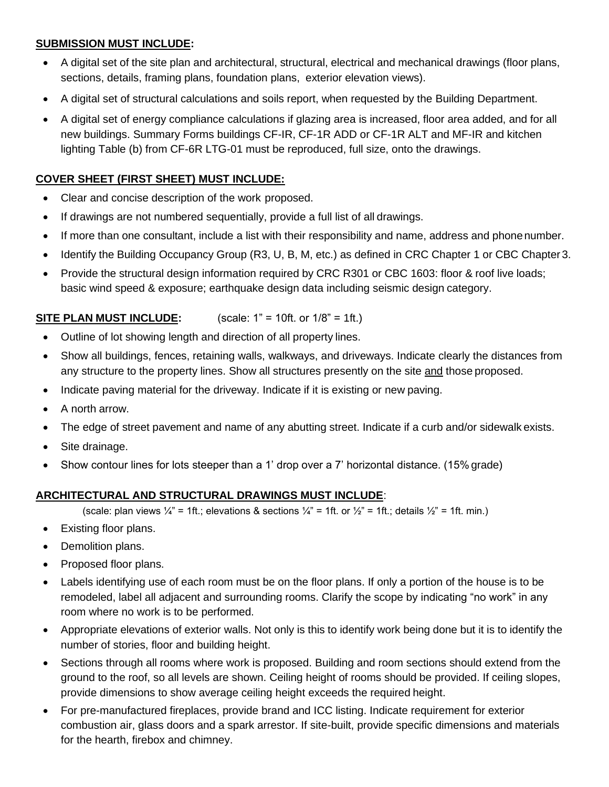## **SUBMISSION MUST INCLUDE:**

- A digital set of the site plan and architectural, structural, electrical and mechanical drawings (floor plans, sections, details, framing plans, foundation plans, exterior elevation views).
- A digital set of structural calculations and soils report, when requested by the Building Department.
- A digital set of energy compliance calculations if glazing area is increased, floor area added, and for all new buildings. Summary Forms buildings CF-IR, CF-1R ADD or CF-1R ALT and MF-IR and kitchen lighting Table (b) from CF-6R LTG-01 must be reproduced, full size, onto the drawings.

# **COVER SHEET (FIRST SHEET) MUST INCLUDE:**

- Clear and concise description of the work proposed.
- If drawings are not numbered sequentially, provide a full list of all drawings.
- If more than one consultant, include a list with their responsibility and name, address and phonenumber.
- Identify the Building Occupancy Group (R3, U, B, M, etc.) as defined in CRC Chapter 1 or CBC Chapter 3.
- Provide the structural design information required by CRC R301 or CBC 1603: floor & roof live loads; basic wind speed & exposure; earthquake design data including seismic design category.

## **SITE PLAN MUST INCLUDE:** (scale: 1" = 10ft. or 1/8" = 1ft.)

- Outline of lot showing length and direction of all property lines.
- Show all buildings, fences, retaining walls, walkways, and driveways. Indicate clearly the distances from any structure to the property lines. Show all structures presently on the site and those proposed.
- Indicate paving material for the driveway. Indicate if it is existing or new paving.
- A north arrow.
- The edge of street pavement and name of any abutting street. Indicate if a curb and/or sidewalk exists.
- Site drainage.
- Show contour lines for lots steeper than a 1' drop over a 7' horizontal distance. (15% grade)

# **ARCHITECTURAL AND STRUCTURAL DRAWINGS MUST INCLUDE**:

(scale: plan views  $\frac{1}{4}$ " = 1ft.; elevations & sections  $\frac{1}{4}$ " = 1ft. or  $\frac{1}{2}$ " = 1ft.; details  $\frac{1}{2}$ " = 1ft. min.)

- Existing floor plans.
- Demolition plans.
- Proposed floor plans.
- Labels identifying use of each room must be on the floor plans. If only a portion of the house is to be remodeled, label all adjacent and surrounding rooms. Clarify the scope by indicating "no work" in any room where no work is to be performed.
- Appropriate elevations of exterior walls. Not only is this to identify work being done but it is to identify the number of stories, floor and building height.
- Sections through all rooms where work is proposed. Building and room sections should extend from the ground to the roof, so all levels are shown. Ceiling height of rooms should be provided. If ceiling slopes, provide dimensions to show average ceiling height exceeds the required height.
- For pre-manufactured fireplaces, provide brand and ICC listing. Indicate requirement for exterior combustion air, glass doors and a spark arrestor. If site-built, provide specific dimensions and materials for the hearth, firebox and chimney.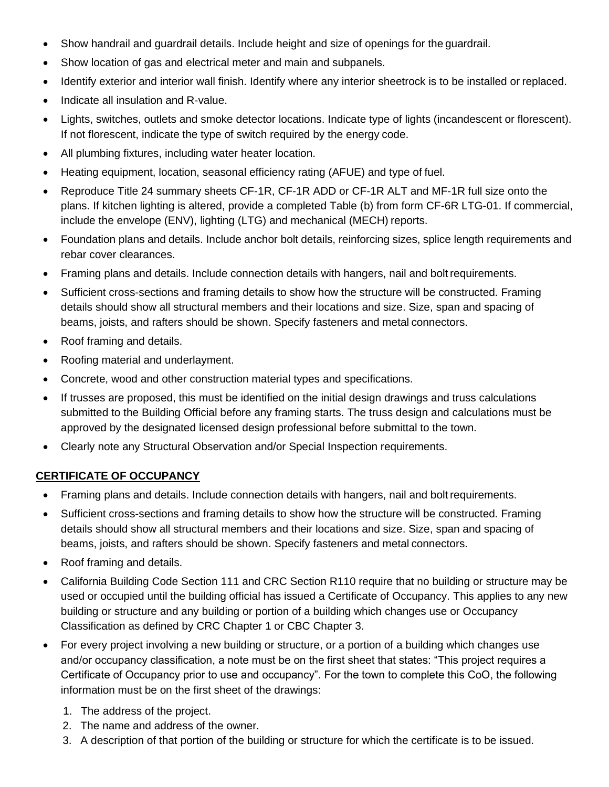- Show handrail and guardrail details. Include height and size of openings for the guardrail.
- Show location of gas and electrical meter and main and subpanels.
- Identify exterior and interior wall finish. Identify where any interior sheetrock is to be installed or replaced.
- Indicate all insulation and R-value.
- Lights, switches, outlets and smoke detector locations. Indicate type of lights (incandescent or florescent). If not florescent, indicate the type of switch required by the energy code.
- All plumbing fixtures, including water heater location.
- Heating equipment, location, seasonal efficiency rating (AFUE) and type of fuel.
- Reproduce Title 24 summary sheets CF-1R, CF-1R ADD or CF-1R ALT and MF-1R full size onto the plans. If kitchen lighting is altered, provide a completed Table (b) from form CF-6R LTG-01. If commercial, include the envelope (ENV), lighting (LTG) and mechanical (MECH) reports.
- Foundation plans and details. Include anchor bolt details, reinforcing sizes, splice length requirements and rebar cover clearances.
- Framing plans and details. Include connection details with hangers, nail and bolt requirements.
- Sufficient cross-sections and framing details to show how the structure will be constructed. Framing details should show all structural members and their locations and size. Size, span and spacing of beams, joists, and rafters should be shown. Specify fasteners and metal connectors.
- Roof framing and details.
- Roofing material and underlayment.
- Concrete, wood and other construction material types and specifications.
- If trusses are proposed, this must be identified on the initial design drawings and truss calculations submitted to the Building Official before any framing starts. The truss design and calculations must be approved by the designated licensed design professional before submittal to the town.
- Clearly note any Structural Observation and/or Special Inspection requirements.

## **CERTIFICATE OF OCCUPANCY**

- Framing plans and details. Include connection details with hangers, nail and bolt requirements.
- Sufficient cross-sections and framing details to show how the structure will be constructed. Framing details should show all structural members and their locations and size. Size, span and spacing of beams, joists, and rafters should be shown. Specify fasteners and metal connectors.
- Roof framing and details.
- California Building Code Section 111 and CRC Section R110 require that no building or structure may be used or occupied until the building official has issued a Certificate of Occupancy. This applies to any new building or structure and any building or portion of a building which changes use or Occupancy Classification as defined by CRC Chapter 1 or CBC Chapter 3.
- For every project involving a new building or structure, or a portion of a building which changes use and/or occupancy classification, a note must be on the first sheet that states: "This project requires a Certificate of Occupancy prior to use and occupancy". For the town to complete this CoO, the following information must be on the first sheet of the drawings:
	- 1. The address of the project.
	- 2. The name and address of the owner.
	- 3. A description of that portion of the building or structure for which the certificate is to be issued.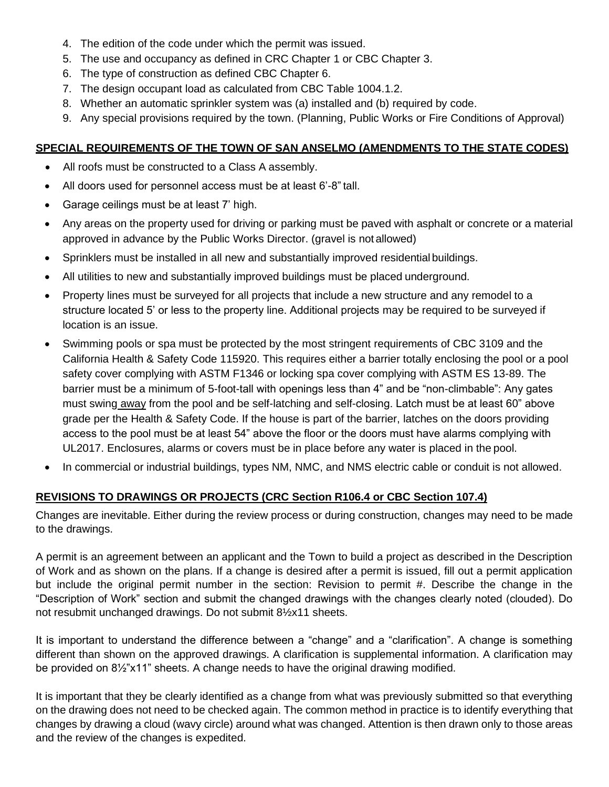- 4. The edition of the code under which the permit was issued.
- 5. The use and occupancy as defined in CRC Chapter 1 or CBC Chapter 3.
- 6. The type of construction as defined CBC Chapter 6.
- 7. The design occupant load as calculated from CBC Table 1004.1.2.
- 8. Whether an automatic sprinkler system was (a) installed and (b) required by code.
- 9. Any special provisions required by the town. (Planning, Public Works or Fire Conditions of Approval)

## **SPECIAL REQUIREMENTS OF THE TOWN OF SAN ANSELMO (AMENDMENTS TO THE STATE CODES)**

- All roofs must be constructed to a Class A assembly.
- All doors used for personnel access must be at least 6'-8" tall.
- Garage ceilings must be at least 7' high.
- Any areas on the property used for driving or parking must be paved with asphalt or concrete or a material approved in advance by the Public Works Director. (gravel is not allowed)
- Sprinklers must be installed in all new and substantially improved residential buildings.
- All utilities to new and substantially improved buildings must be placed underground.
- Property lines must be surveyed for all projects that include a new structure and any remodel to a structure located 5' or less to the property line. Additional projects may be required to be surveyed if location is an issue.
- Swimming pools or spa must be protected by the most stringent requirements of CBC 3109 and the California Health & Safety Code 115920. This requires either a barrier totally enclosing the pool or a pool safety cover complying with ASTM F1346 or locking spa cover complying with ASTM ES 13-89. The barrier must be a minimum of 5-foot-tall with openings less than 4" and be "non-climbable": Any gates must swing away from the pool and be self-latching and self-closing. Latch must be at least 60" above grade per the Health & Safety Code. If the house is part of the barrier, latches on the doors providing access to the pool must be at least 54" above the floor or the doors must have alarms complying with UL2017. Enclosures, alarms or covers must be in place before any water is placed in the pool.
- In commercial or industrial buildings, types NM, NMC, and NMS electric cable or conduit is not allowed.

# **REVISIONS TO DRAWINGS OR PROJECTS (CRC Section R106.4 or CBC Section 107.4)**

Changes are inevitable. Either during the review process or during construction, changes may need to be made to the drawings.

A permit is an agreement between an applicant and the Town to build a project as described in the Description of Work and as shown on the plans. If a change is desired after a permit is issued, fill out a permit application but include the original permit number in the section: Revision to permit #. Describe the change in the "Description of Work" section and submit the changed drawings with the changes clearly noted (clouded). Do not resubmit unchanged drawings. Do not submit 8½x11 sheets.

It is important to understand the difference between a "change" and a "clarification". A change is something different than shown on the approved drawings. A clarification is supplemental information. A clarification may be provided on 8½"x11" sheets. A change needs to have the original drawing modified.

It is important that they be clearly identified as a change from what was previously submitted so that everything on the drawing does not need to be checked again. The common method in practice is to identify everything that changes by drawing a cloud (wavy circle) around what was changed. Attention is then drawn only to those areas and the review of the changes is expedited.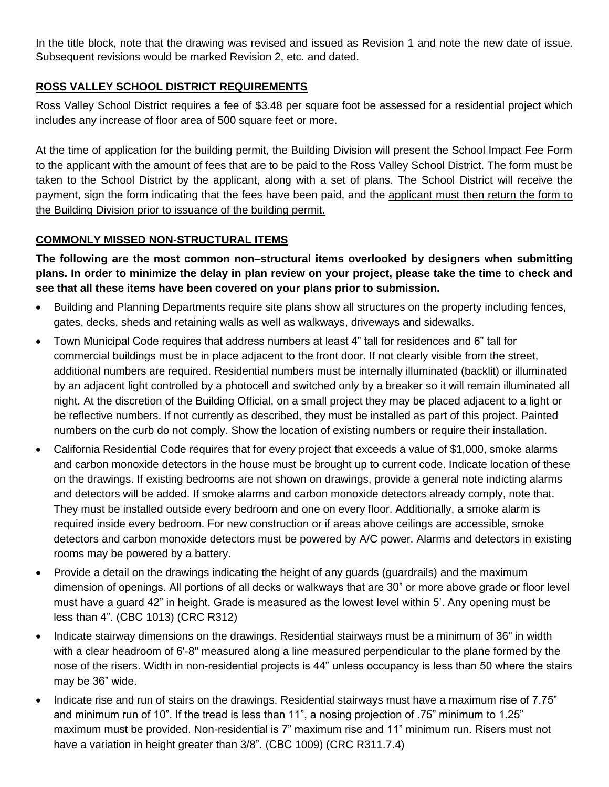In the title block, note that the drawing was revised and issued as Revision 1 and note the new date of issue. Subsequent revisions would be marked Revision 2, etc. and dated.

# **ROSS VALLEY SCHOOL DISTRICT REQUIREMENTS**

Ross Valley School District requires a fee of \$3.48 per square foot be assessed for a residential project which includes any increase of floor area of 500 square feet or more.

At the time of application for the building permit, the Building Division will present the School Impact Fee Form to the applicant with the amount of fees that are to be paid to the Ross Valley School District. The form must be taken to the School District by the applicant, along with a set of plans. The School District will receive the payment, sign the form indicating that the fees have been paid, and the applicant must then return the form to the Building Division prior to issuance of the building permit.

## **COMMONLY MISSED NON-STRUCTURAL ITEMS**

**The following are the most common non–structural items overlooked by designers when submitting plans. In order to minimize the delay in plan review on your project, please take the time to check and see that all these items have been covered on your plans prior to submission.**

- Building and Planning Departments require site plans show all structures on the property including fences, gates, decks, sheds and retaining walls as well as walkways, driveways and sidewalks.
- Town Municipal Code requires that address numbers at least 4" tall for residences and 6" tall for commercial buildings must be in place adjacent to the front door. If not clearly visible from the street, additional numbers are required. Residential numbers must be internally illuminated (backlit) or illuminated by an adjacent light controlled by a photocell and switched only by a breaker so it will remain illuminated all night. At the discretion of the Building Official, on a small project they may be placed adjacent to a light or be reflective numbers. If not currently as described, they must be installed as part of this project. Painted numbers on the curb do not comply. Show the location of existing numbers or require their installation.
- California Residential Code requires that for every project that exceeds a value of \$1,000, smoke alarms and carbon monoxide detectors in the house must be brought up to current code. Indicate location of these on the drawings. If existing bedrooms are not shown on drawings, provide a general note indicting alarms and detectors will be added. If smoke alarms and carbon monoxide detectors already comply, note that. They must be installed outside every bedroom and one on every floor. Additionally, a smoke alarm is required inside every bedroom. For new construction or if areas above ceilings are accessible, smoke detectors and carbon monoxide detectors must be powered by A/C power. Alarms and detectors in existing rooms may be powered by a battery.
- Provide a detail on the drawings indicating the height of any guards (guardrails) and the maximum dimension of openings. All portions of all decks or walkways that are 30" or more above grade or floor level must have a guard 42" in height. Grade is measured as the lowest level within 5'. Any opening must be less than 4". (CBC 1013) (CRC R312)
- Indicate stairway dimensions on the drawings. Residential stairways must be a minimum of 36" in width with a clear headroom of 6'-8" measured along a line measured perpendicular to the plane formed by the nose of the risers. Width in non-residential projects is 44" unless occupancy is less than 50 where the stairs may be 36" wide.
- Indicate rise and run of stairs on the drawings. Residential stairways must have a maximum rise of 7.75" and minimum run of 10". If the tread is less than 11", a nosing projection of .75" minimum to 1.25" maximum must be provided. Non-residential is 7" maximum rise and 11" minimum run. Risers must not have a variation in height greater than 3/8". (CBC 1009) (CRC R311.7.4)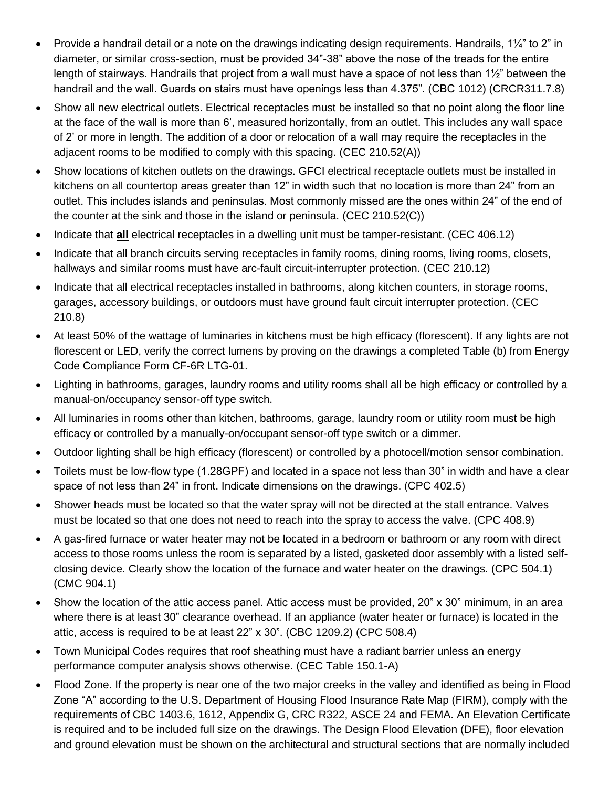- Provide a handrail detail or a note on the drawings indicating design requirements. Handrails, 1¼" to 2" in diameter, or similar cross-section, must be provided 34"-38" above the nose of the treads for the entire length of stairways. Handrails that project from a wall must have a space of not less than 1½" between the handrail and the wall. Guards on stairs must have openings less than 4.375". (CBC 1012) (CRCR311.7.8)
- Show all new electrical outlets. Electrical receptacles must be installed so that no point along the floor line at the face of the wall is more than 6', measured horizontally, from an outlet. This includes any wall space of 2' or more in length. The addition of a door or relocation of a wall may require the receptacles in the adjacent rooms to be modified to comply with this spacing. (CEC 210.52(A))
- Show locations of kitchen outlets on the drawings. GFCI electrical receptacle outlets must be installed in kitchens on all countertop areas greater than 12" in width such that no location is more than 24" from an outlet. This includes islands and peninsulas. Most commonly missed are the ones within 24" of the end of the counter at the sink and those in the island or peninsula. (CEC 210.52(C))
- Indicate that **all** electrical receptacles in a dwelling unit must be tamper-resistant. (CEC 406.12)
- Indicate that all branch circuits serving receptacles in family rooms, dining rooms, living rooms, closets, hallways and similar rooms must have arc-fault circuit-interrupter protection. (CEC 210.12)
- Indicate that all electrical receptacles installed in bathrooms, along kitchen counters, in storage rooms, garages, accessory buildings, or outdoors must have ground fault circuit interrupter protection. (CEC 210.8)
- At least 50% of the wattage of luminaries in kitchens must be high efficacy (florescent). If any lights are not florescent or LED, verify the correct lumens by proving on the drawings a completed Table (b) from Energy Code Compliance Form CF-6R LTG-01.
- Lighting in bathrooms, garages, laundry rooms and utility rooms shall all be high efficacy or controlled by a manual-on/occupancy sensor-off type switch.
- All luminaries in rooms other than kitchen, bathrooms, garage, laundry room or utility room must be high efficacy or controlled by a manually-on/occupant sensor-off type switch or a dimmer.
- Outdoor lighting shall be high efficacy (florescent) or controlled by a photocell/motion sensor combination.
- Toilets must be low-flow type (1.28GPF) and located in a space not less than 30" in width and have a clear space of not less than 24" in front. Indicate dimensions on the drawings. (CPC 402.5)
- Shower heads must be located so that the water spray will not be directed at the stall entrance. Valves must be located so that one does not need to reach into the spray to access the valve. (CPC 408.9)
- A gas-fired furnace or water heater may not be located in a bedroom or bathroom or any room with direct access to those rooms unless the room is separated by a listed, gasketed door assembly with a listed selfclosing device. Clearly show the location of the furnace and water heater on the drawings. (CPC 504.1) (CMC 904.1)
- Show the location of the attic access panel. Attic access must be provided, 20" x 30" minimum, in an area where there is at least 30" clearance overhead. If an appliance (water heater or furnace) is located in the attic, access is required to be at least 22" x 30". (CBC 1209.2) (CPC 508.4)
- Town Municipal Codes requires that roof sheathing must have a radiant barrier unless an energy performance computer analysis shows otherwise. (CEC Table 150.1-A)
- Flood Zone. If the property is near one of the two major creeks in the valley and identified as being in Flood Zone "A" according to the U.S. Department of Housing Flood Insurance Rate Map (FIRM), comply with the requirements of CBC 1403.6, 1612, Appendix G, CRC R322, ASCE 24 and FEMA. An Elevation Certificate is required and to be included full size on the drawings. The Design Flood Elevation (DFE), floor elevation and ground elevation must be shown on the architectural and structural sections that are normally included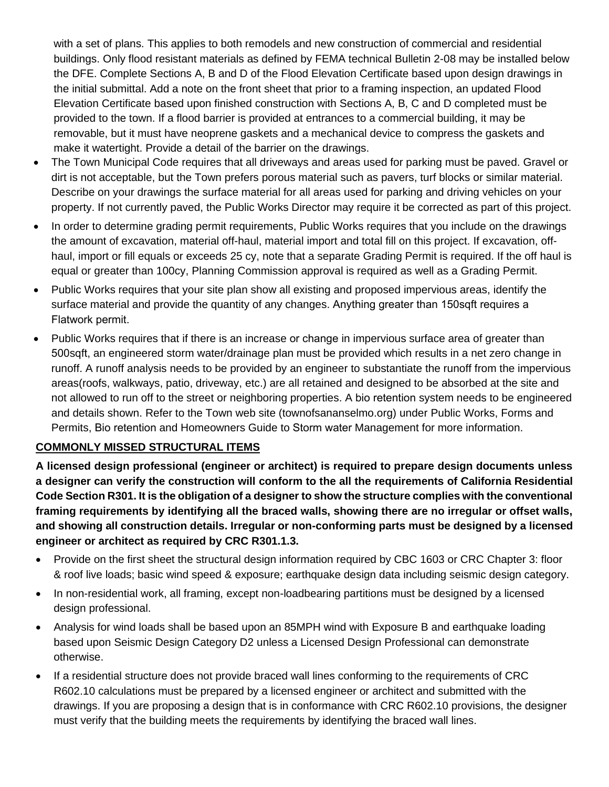with a set of plans. This applies to both remodels and new construction of commercial and residential buildings. Only flood resistant materials as defined by FEMA technical Bulletin 2-08 may be installed below the DFE. Complete Sections A, B and D of the Flood Elevation Certificate based upon design drawings in the initial submittal. Add a note on the front sheet that prior to a framing inspection, an updated Flood Elevation Certificate based upon finished construction with Sections A, B, C and D completed must be provided to the town. If a flood barrier is provided at entrances to a commercial building, it may be removable, but it must have neoprene gaskets and a mechanical device to compress the gaskets and make it watertight. Provide a detail of the barrier on the drawings.

- The Town Municipal Code requires that all driveways and areas used for parking must be paved. Gravel or dirt is not acceptable, but the Town prefers porous material such as pavers, turf blocks or similar material. Describe on your drawings the surface material for all areas used for parking and driving vehicles on your property. If not currently paved, the Public Works Director may require it be corrected as part of this project.
- In order to determine grading permit requirements, Public Works requires that you include on the drawings the amount of excavation, material off-haul, material import and total fill on this project. If excavation, offhaul, import or fill equals or exceeds 25 cy, note that a separate Grading Permit is required. If the off haul is equal or greater than 100cy, Planning Commission approval is required as well as a Grading Permit.
- Public Works requires that your site plan show all existing and proposed impervious areas, identify the surface material and provide the quantity of any changes. Anything greater than 150sqft requires a Flatwork permit.
- Public Works requires that if there is an increase or change in impervious surface area of greater than 500sqft, an engineered storm water/drainage plan must be provided which results in a net zero change in runoff. A runoff analysis needs to be provided by an engineer to substantiate the runoff from the impervious areas(roofs, walkways, patio, driveway, etc.) are all retained and designed to be absorbed at the site and not allowed to run off to the street or neighboring properties. A bio retention system needs to be engineered and details shown. Refer to the Town web site (townofsananselmo.org) under Public Works, Forms and Permits, Bio retention and Homeowners Guide to Storm water Management for more information.

## **COMMONLY MISSED STRUCTURAL ITEMS**

**A licensed design professional (engineer or architect) is required to prepare design documents unless a designer can verify the construction will conform to the all the requirements of California Residential Code Section R301. It is the obligation of a designer to show the structure complies with the conventional framing requirements by identifying all the braced walls, showing there are no irregular or offset walls, and showing all construction details. Irregular or non-conforming parts must be designed by a licensed engineer or architect as required by CRC R301.1.3.**

- Provide on the first sheet the structural design information required by CBC 1603 or CRC Chapter 3: floor & roof live loads; basic wind speed & exposure; earthquake design data including seismic design category.
- In non-residential work, all framing, except non-loadbearing partitions must be designed by a licensed design professional.
- Analysis for wind loads shall be based upon an 85MPH wind with Exposure B and earthquake loading based upon Seismic Design Category D2 unless a Licensed Design Professional can demonstrate otherwise.
- If a residential structure does not provide braced wall lines conforming to the requirements of CRC R602.10 calculations must be prepared by a licensed engineer or architect and submitted with the drawings. If you are proposing a design that is in conformance with CRC R602.10 provisions, the designer must verify that the building meets the requirements by identifying the braced wall lines.